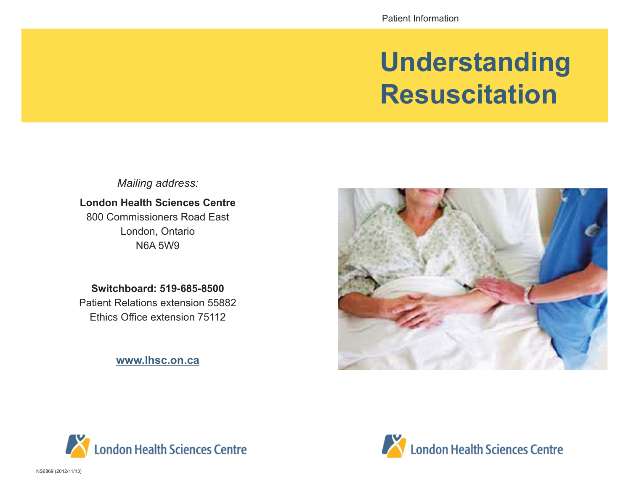Patient Information

# **Understanding Resuscitation**

*Mailing address:*

# **London Health Sciences Centre**

800 Commissioners Road East London, Ontario N6A 5W9

**Switchboard: 519-685-8500** Patient Relations extension 55882 Ethics Office extension 75112

**www.lhsc.on.ca**





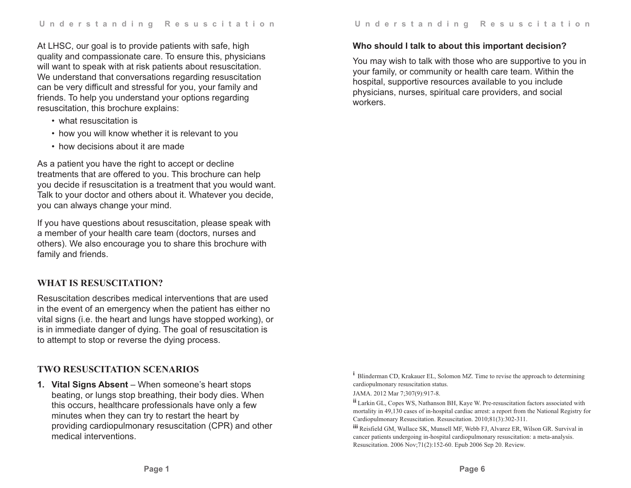At LHSC, our goal is to provide patients with safe, high quality and compassionate care. To ensure this, physicians will want to speak with at risk patients about resuscitation. We understand that conversations regarding resuscitation can be very difficult and stressful for you, your family and friends. To help you understand your options regarding resuscitation, this brochure explains:

- what resuscitation is
- how you will know whether it is relevant to you
- how decisions about it are made

As a patient you have the right to accept or decline treatments that are offered to you. This brochure can help you decide if resuscitation is a treatment that you would want. Talk to your doctor and others about it. Whatever you decide, you can always change your mind.

If you have questions about resuscitation, please speak with a member of your health care team (doctors, nurses and others). We also encourage you to share this brochure with family and friends.

#### **WHAT IS RESUSCITATION?**

Resuscitation describes medical interventions that are used in the event of an emergency when the patient has either no vital signs (i.e. the heart and lungs have stopped working), or is in immediate danger of dying. The goal of resuscitation is to attempt to stop or reverse the dying process.

## **TWO RESUSCITATION SCENARIOS**

**1. Vital Signs Absent** – When someone's heart stops beating, or lungs stop breathing, their body dies. When this occurs, healthcare professionals have only a few minutes when they can try to restart the heart by providing cardiopulmonary resuscitation (CPR) and other medical interventions.

#### **Who should I talk to about this important decision?**

You may wish to talk with those who are supportive to you in your family, or community or health care team. Within the hospital, supportive resources available to you include physicians, nurses, spiritual care providers, and social workers.

<sup>i</sup> Blinderman CD, Krakauer EL, Solomon MZ. Time to revise the approach to determining cardiopulmonary resuscitation status.

JAMA. 2012 Mar 7;307(9):917-8.

**ii** Larkin GL, Copes WS, Nathanson BH, Kaye W. Pre-resuscitation factors associated with mortality in 49,130 cases of in-hospital cardiac arrest: a report from the National Registry for Cardiopulmonary Resuscitation. Resuscitation. 2010;81(3):302-311.

**iii** Reisfield GM, Wallace SK, Munsell MF, Webb FJ, Alvarez ER, Wilson GR. Survival in cancer patients undergoing in-hospital cardiopulmonary resuscitation: a meta-analysis. Resuscitation. 2006 Nov;71(2):152-60. Epub 2006 Sep 20. Review.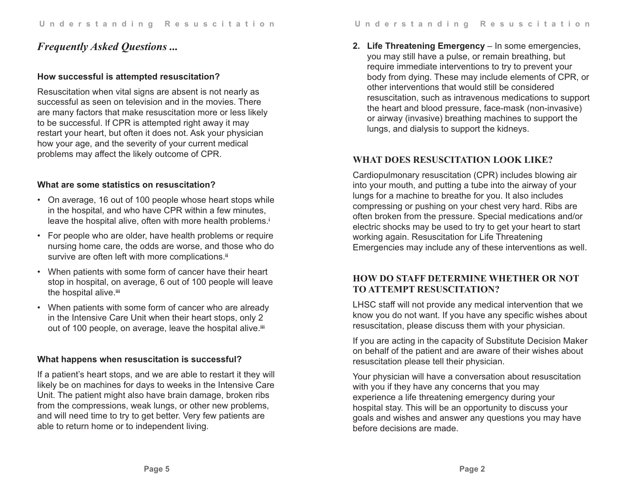# *Frequently Asked Questions ...*

#### **How successful is attempted resuscitation?**

Resuscitation when vital signs are absent is not nearly as successful as seen on television and in the movies. There are many factors that make resuscitation more or less likely to be successful. If CPR is attempted right away it may restart your heart, but often it does not. Ask your physician how your age, and the severity of your current medical problems may affect the likely outcome of CPR.

#### **What are some statistics on resuscitation?**

- On average, 16 out of 100 people whose heart stops while in the hospital, and who have CPR within a few minutes, leave the hospital alive, often with more health problems.**<sup>i</sup>**
- For people who are older, have health problems or require nursing home care, the odds are worse, and those who do survive are often left with more complications.**ii**
- When patients with some form of cancer have their heart stop in hospital, on average, 6 out of 100 people will leave the hospital alive.**iii**
- When patients with some form of cancer who are already in the Intensive Care Unit when their heart stops, only 2 out of 100 people, on average, leave the hospital alive.**iii**

#### **What happens when resuscitation is successful?**

If a patient's heart stops, and we are able to restart it they will likely be on machines for days to weeks in the Intensive Care Unit. The patient might also have brain damage, broken ribs from the compressions, weak lungs, or other new problems, and will need time to try to get better. Very few patients are able to return home or to independent living.

**2. Life Threatening Emergency** – In some emergencies, you may still have a pulse, or remain breathing, but require immediate interventions to try to prevent your body from dying. These may include elements of CPR, or other interventions that would still be considered resuscitation, such as intravenous medications to support the heart and blood pressure, face-mask (non-invasive) or airway (invasive) breathing machines to support the lungs, and dialysis to support the kidneys.

#### **WHAT DOES RESUSCITATION LOOK LIKE?**

Cardiopulmonary resuscitation (CPR) includes blowing air into your mouth, and putting a tube into the airway of your lungs for a machine to breathe for you. It also includes compressing or pushing on your chest very hard. Ribs are often broken from the pressure. Special medications and/or electric shocks may be used to try to get your heart to start working again. Resuscitation for Life Threatening Emergencies may include any of these interventions as well.

# **HOW DO STAFF DETERMINE WHETHER OR NOT TO ATTEMPT RESUSCITATION?**

LHSC staff will not provide any medical intervention that we know you do not want. If you have any specific wishes about resuscitation, please discuss them with your physician.

If you are acting in the capacity of Substitute Decision Maker on behalf of the patient and are aware of their wishes about resuscitation please tell their physician.

Your physician will have a conversation about resuscitation with you if they have any concerns that you may experience a life threatening emergency during your hospital stay. This will be an opportunity to discuss your goals and wishes and answer any questions you may have before decisions are made.